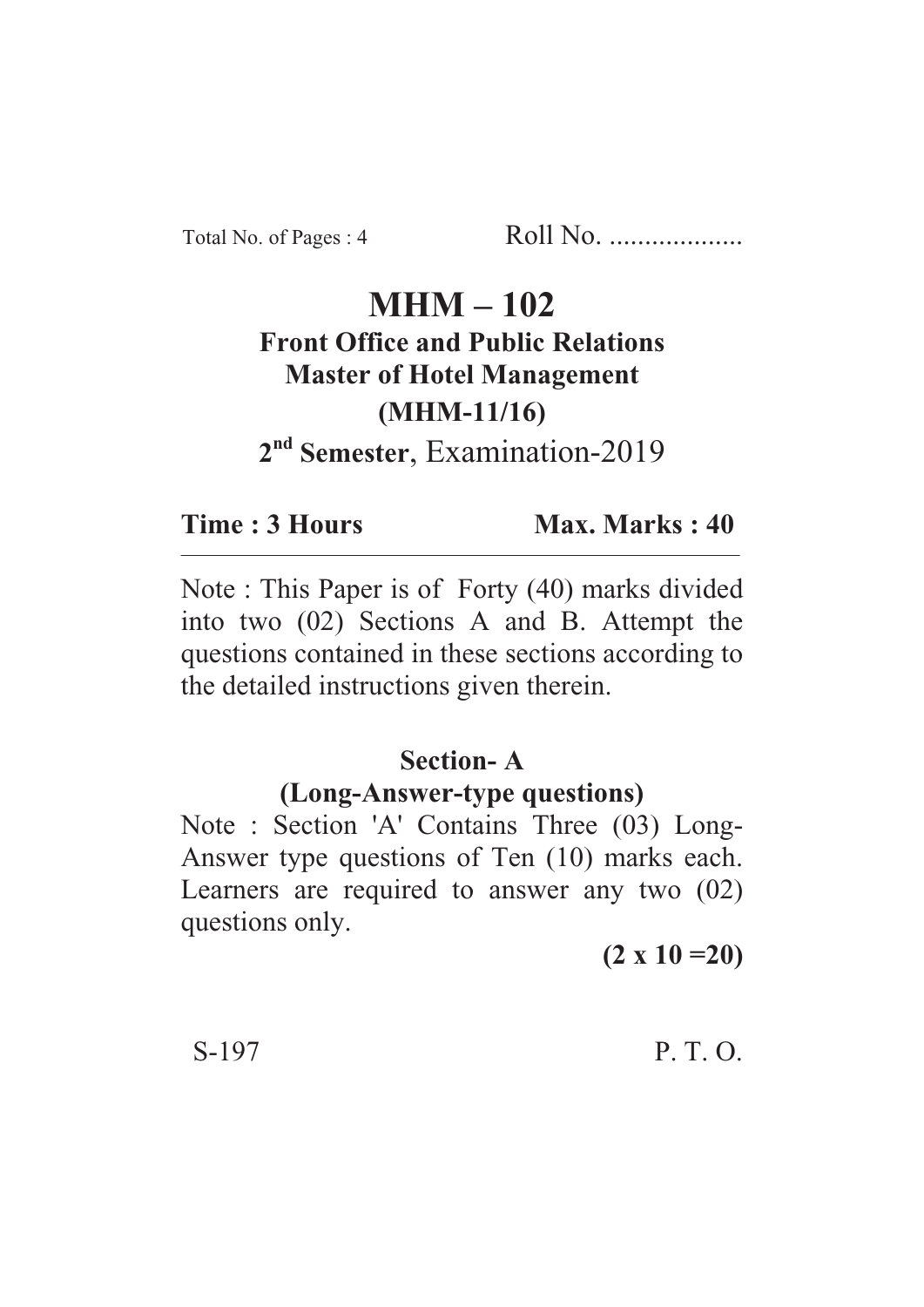Total No. of Pages : 4 Roll No. ...................

# **MHM – 102 Front Office and Public Relations Master of Hotel Management (MHM-11/16)**

**2nd Semester**, Examination-2019

**Time : 3 Hours Max. Marks : 40** 

Note : This Paper is of Forty (40) marks divided into two (02) Sections A and B. Attempt the questions contained in these sections according to the detailed instructions given therein.

# **Section- A**

### **(Long-Answer-type questions)**

Note : Section 'A' Contains Three (03) Long-Answer type questions of Ten (10) marks each. Learners are required to answer any two (02) questions only.

**(2 x 10 =20)**

S-197 P. T. O.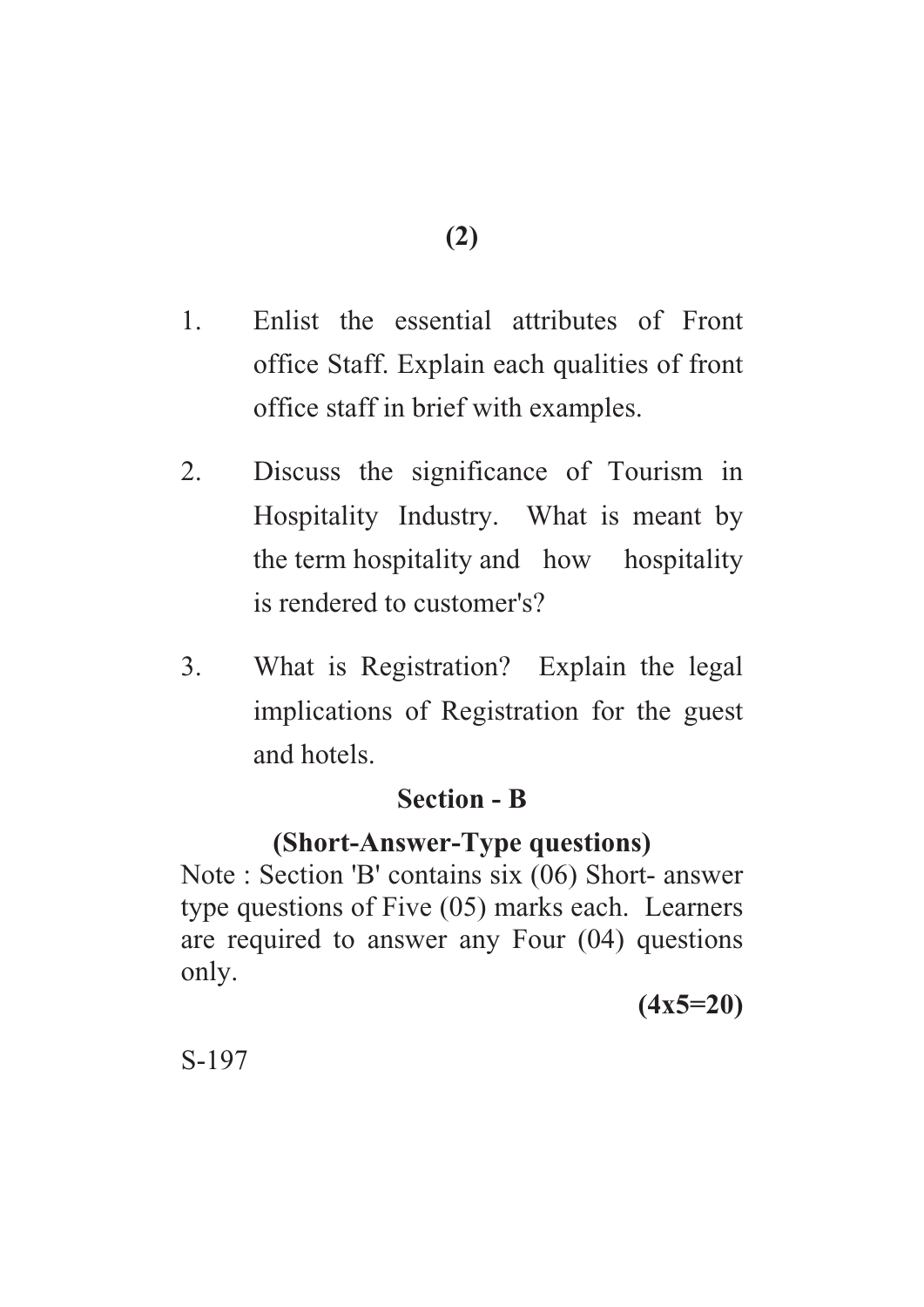- 1. Enlist the essential attributes of Front office Staff. Explain each qualities of front office staff in brief with examples.
- 2. Discuss the significance of Tourism in Hospitality Industry. What is meant by the term hospitality and how hospitality is rendered to customer's?
- 3. What is Registration? Explain the legal implications of Registration for the guest and hotels.

# **Section - B**

# **(Short-Answer-Type questions)**

Note : Section 'B' contains six (06) Short- answer type questions of Five (05) marks each. Learners are required to answer any Four (04) questions only.

**(4x5=20)**

S-197